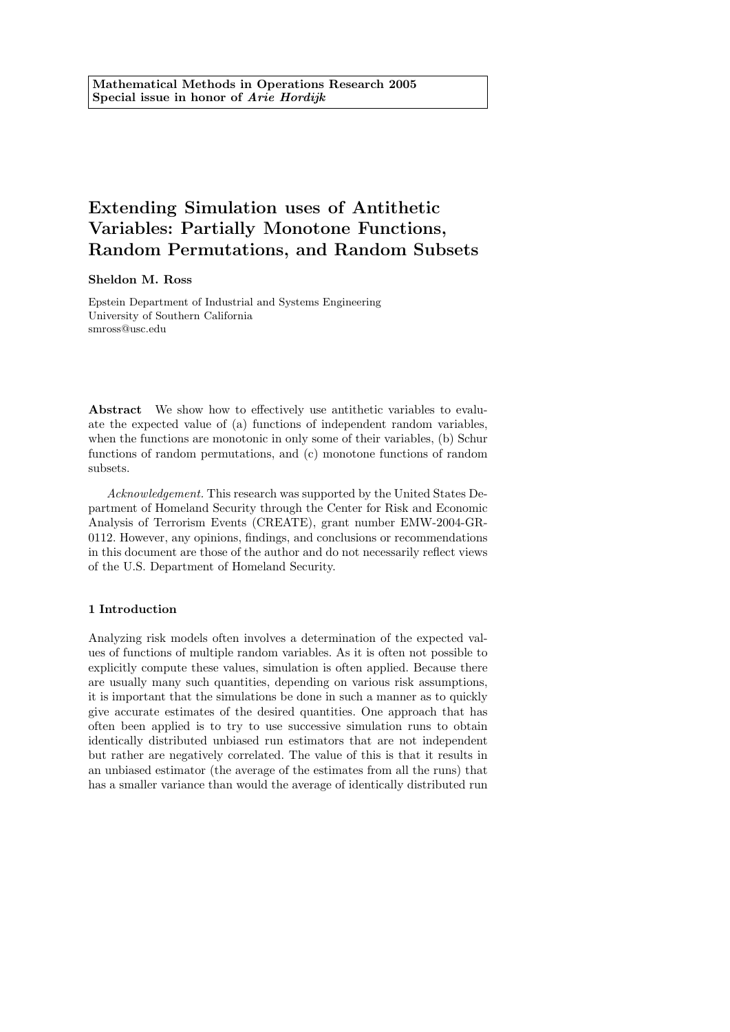# Extending Simulation uses of Antithetic Variables: Partially Monotone Functions, Random Permutations, and Random Subsets

#### Sheldon M. Ross

Epstein Department of Industrial and Systems Engineering University of Southern California smross@usc.edu

Abstract We show how to effectively use antithetic variables to evaluate the expected value of (a) functions of independent random variables, when the functions are monotonic in only some of their variables, (b) Schur functions of random permutations, and (c) monotone functions of random subsets.

Acknowledgement. This research was supported by the United States Department of Homeland Security through the Center for Risk and Economic Analysis of Terrorism Events (CREATE), grant number EMW-2004-GR-0112. However, any opinions, findings, and conclusions or recommendations in this document are those of the author and do not necessarily reflect views of the U.S. Department of Homeland Security.

### 1 Introduction

Analyzing risk models often involves a determination of the expected values of functions of multiple random variables. As it is often not possible to explicitly compute these values, simulation is often applied. Because there are usually many such quantities, depending on various risk assumptions, it is important that the simulations be done in such a manner as to quickly give accurate estimates of the desired quantities. One approach that has often been applied is to try to use successive simulation runs to obtain identically distributed unbiased run estimators that are not independent but rather are negatively correlated. The value of this is that it results in an unbiased estimator (the average of the estimates from all the runs) that has a smaller variance than would the average of identically distributed run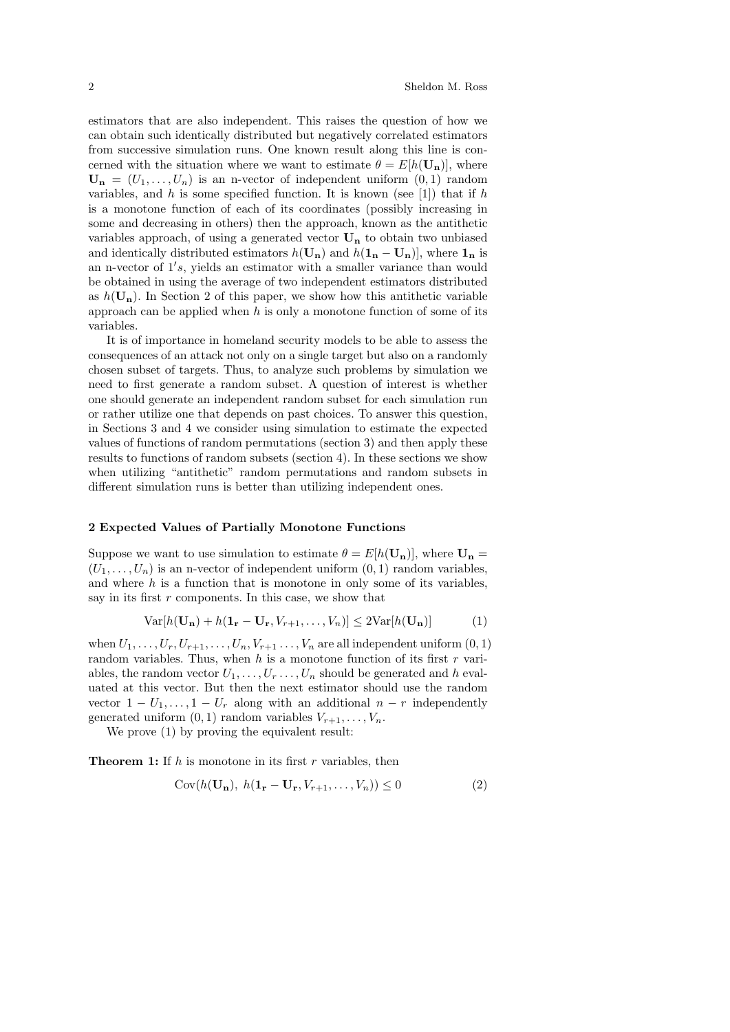estimators that are also independent. This raises the question of how we can obtain such identically distributed but negatively correlated estimators from successive simulation runs. One known result along this line is concerned with the situation where we want to estimate  $\theta = E[h(\mathbf{U}_n)]$ , where  $\mathbf{U_n} = (U_1, \ldots, U_n)$  is an n-vector of independent uniform  $(0, 1)$  random variables, and h is some specified function. It is known (see [1]) that if h is a monotone function of each of its coordinates (possibly increasing in some and decreasing in others) then the approach, known as the antithetic variables approach, of using a generated vector  $U_n$  to obtain two unbiased and identically distributed estimators  $h(\mathbf{U}_n)$  and  $h(\mathbf{1}_n - \mathbf{U}_n)$ , where  $\mathbf{1}_n$  is an n-vector of  $1's$ , yields an estimator with a smaller variance than would be obtained in using the average of two independent estimators distributed as  $h(\mathbf{U}_n)$ . In Section 2 of this paper, we show how this antithetic variable approach can be applied when  $h$  is only a monotone function of some of its variables.

It is of importance in homeland security models to be able to assess the consequences of an attack not only on a single target but also on a randomly chosen subset of targets. Thus, to analyze such problems by simulation we need to first generate a random subset. A question of interest is whether one should generate an independent random subset for each simulation run or rather utilize one that depends on past choices. To answer this question, in Sections 3 and 4 we consider using simulation to estimate the expected values of functions of random permutations (section 3) and then apply these results to functions of random subsets (section 4). In these sections we show when utilizing "antithetic" random permutations and random subsets in different simulation runs is better than utilizing independent ones.

#### 2 Expected Values of Partially Monotone Functions

Suppose we want to use simulation to estimate  $\theta = E[h(\mathbf{U_n})]$ , where  $\mathbf{U_n} =$  $(U_1, \ldots, U_n)$  is an n-vector of independent uniform  $(0, 1)$  random variables, and where  $h$  is a function that is monotone in only some of its variables. say in its first  $r$  components. In this case, we show that

$$
\text{Var}[h(\mathbf{U_n}) + h(\mathbf{1_r} - \mathbf{U_r}, V_{r+1}, \dots, V_n)] \le 2\text{Var}[h(\mathbf{U_n})] \tag{1}
$$

when  $U_1, \ldots, U_r, U_{r+1}, \ldots, U_n, V_{r+1}, \ldots, V_n$  are all independent uniform  $(0, 1)$ random variables. Thus, when h is a monotone function of its first r variables, the random vector  $U_1, \ldots, U_r, \ldots, U_n$  should be generated and h evaluated at this vector. But then the next estimator should use the random vector  $1 - U_1, \ldots, 1 - U_r$  along with an additional  $n - r$  independently generated uniform  $(0, 1)$  random variables  $V_{r+1}, \ldots, V_n$ .

We prove  $(1)$  by proving the equivalent result:

**Theorem 1:** If  $h$  is monotone in its first  $r$  variables, then

$$
Cov(h(\mathbf{U_n}), h(\mathbf{1_r} - \mathbf{U_r}, V_{r+1}, \dots, V_n)) \le 0
$$
\n<sup>(2)</sup>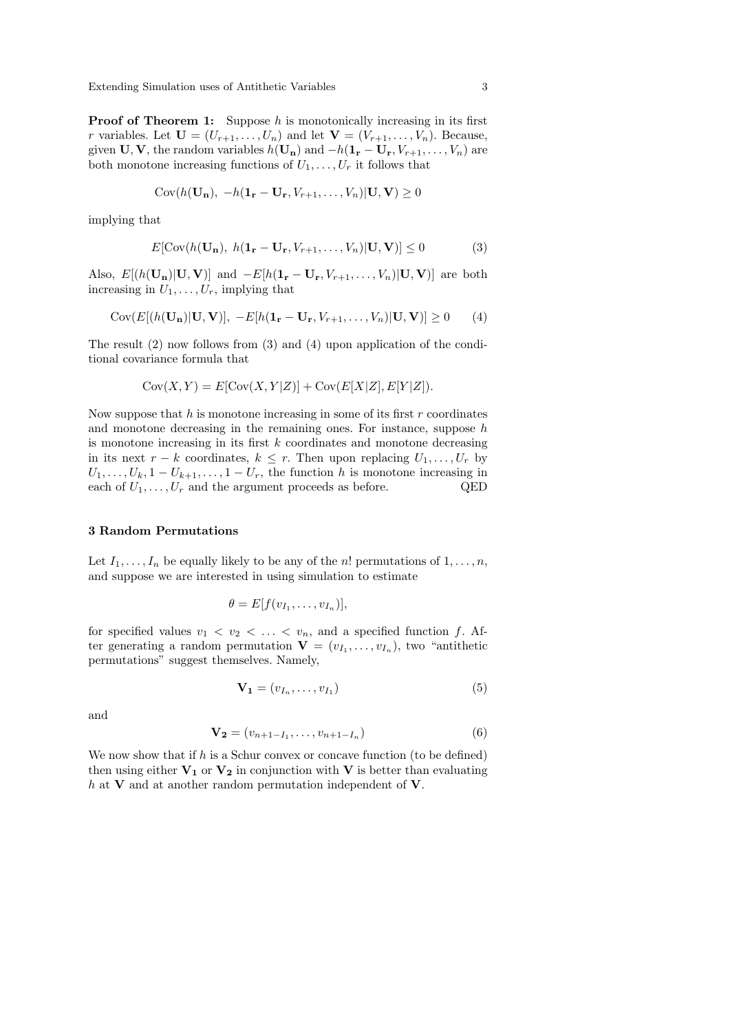Extending Simulation uses of Antithetic Variables 3

**Proof of Theorem 1:** Suppose  $h$  is monotonically increasing in its first r variables. Let  $\mathbf{U} = (U_{r+1}, \ldots, U_n)$  and let  $\mathbf{V} = (V_{r+1}, \ldots, V_n)$ . Because, given  $\mathbf{U}, \mathbf{V}$ , the random variables  $h(\mathbf{U}_n)$  and  $-h(\mathbf{1}_r - \mathbf{U}_r, V_{r+1}, \dots, V_n)$  are both monotone increasing functions of  $U_1, \ldots, U_r$  it follows that

$$
Cov(h(\mathbf{U_n}), -h(\mathbf{1_r} - \mathbf{U_r}, V_{r+1}, \dots, V_n)|\mathbf{U}, \mathbf{V}) \ge 0
$$

implying that

$$
E[\text{Cov}(h(\mathbf{U}_n), h(\mathbf{1}_r - \mathbf{U}_r, V_{r+1}, \dots, V_n)|\mathbf{U}, \mathbf{V})] \le 0
$$
 (3)

Also,  $E[(h(\mathbf{U_n})|\mathbf{U}, \mathbf{V})]$  and  $-E[h(\mathbf{1_r}-\mathbf{U_r}, V_{r+1}, \ldots, V_n)|\mathbf{U}, \mathbf{V})]$  are both increasing in  $U_1, \ldots, U_r$ , implying that

$$
Cov(E[(h(\mathbf{U_n})|\mathbf{U},\mathbf{V})], -E[h(\mathbf{1_r}-\mathbf{U_r},V_{r+1},\ldots,V_n)|\mathbf{U},\mathbf{V})] \ge 0
$$
 (4)

The result (2) now follows from (3) and (4) upon application of the conditional covariance formula that

$$
Cov(X, Y) = E[Cov(X, Y|Z)] + Cov(E[X|Z], E[Y|Z]).
$$

Now suppose that  $h$  is monotone increasing in some of its first  $r$  coordinates and monotone decreasing in the remaining ones. For instance, suppose  $h$ is monotone increasing in its first  $k$  coordinates and monotone decreasing in its next  $r - k$  coordinates,  $k \leq r$ . Then upon replacing  $U_1, \ldots, U_r$  by  $U_1, \ldots, U_k, 1-U_{k+1}, \ldots, 1-U_r$ , the function h is monotone increasing in each of  $U_1, \ldots, U_r$  and the argument proceeds as before. QED

#### 3 Random Permutations

Let  $I_1, \ldots, I_n$  be equally likely to be any of the n! permutations of  $1, \ldots, n$ , and suppose we are interested in using simulation to estimate

$$
\theta = E[f(v_{I_1},\ldots,v_{I_n})],
$$

for specified values  $v_1 < v_2 < \ldots < v_n$ , and a specified function f. After generating a random permutation  $\mathbf{V} = (v_{I_1}, \ldots, v_{I_n})$ , two "antithetic permutations" suggest themselves. Namely,

$$
\mathbf{V}_1 = (v_{I_n}, \dots, v_{I_1}) \tag{5}
$$

and

$$
\mathbf{V_2} = (v_{n+1-I_1}, \dots, v_{n+1-I_n})
$$
\n(6)

We now show that if  $h$  is a Schur convex or concave function (to be defined) then using either  $V_1$  or  $V_2$  in conjunction with V is better than evaluating  $h$  at **V** and at another random permutation independent of **V**.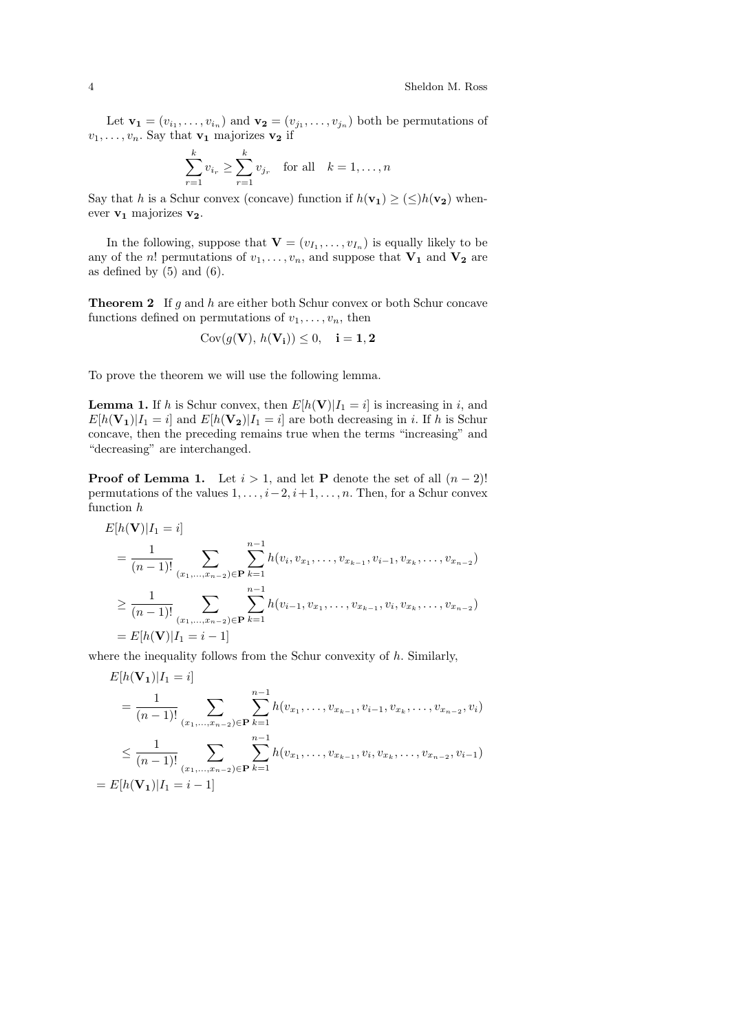Let  $\mathbf{v_1} = (v_{i_1}, \dots, v_{i_n})$  and  $\mathbf{v_2} = (v_{j_1}, \dots, v_{j_n})$  both be permutations of  $v_1, \ldots, v_n$ . Say that  $\mathbf{v}_1$  majorizes  $\mathbf{v}_2$  if

$$
\sum_{r=1}^{k} v_{i_r} \ge \sum_{r=1}^{k} v_{j_r} \text{ for all } k = 1, ..., n
$$

Say that h is a Schur convex (concave) function if  $h(\mathbf{v}_1) \geq (\leq)h(\mathbf{v}_2)$  whenever  $v_1$  majorizes  $v_2$ .

In the following, suppose that  $\mathbf{V} = (v_{I_1}, \dots, v_{I_n})$  is equally likely to be any of the *n*! permutations of  $v_1, \ldots, v_n$ , and suppose that  $V_1$  and  $V_2$  are as defined by  $(5)$  and  $(6)$ .

**Theorem 2** If  $g$  and  $h$  are either both Schur convex or both Schur concave functions defined on permutations of  $v_1, \ldots, v_n$ , then

$$
\mathrm{Cov}(g(\mathbf{V}),\,h(\mathbf{V_i})) \leq 0, \quad \mathbf{i} = \mathbf{1}, \mathbf{2}
$$

To prove the theorem we will use the following lemma.

**Lemma 1.** If h is Schur convex, then  $E[h(V)|I_1 = i]$  is increasing in i, and  $E[h(\mathbf{V_1})|I_1 = i]$  and  $E[h(\mathbf{V_2})|I_1 = i]$  are both decreasing in i. If h is Schur concave, then the preceding remains true when the terms "increasing" and "decreasing" are interchanged.

**Proof of Lemma 1.** Let  $i > 1$ , and let **P** denote the set of all  $(n-2)!$ permutations of the values  $1, \ldots, i-2, i+1, \ldots, n$ . Then, for a Schur convex function h

$$
E[h(\mathbf{V})|I_1 = i]
$$
  
=  $\frac{1}{(n-1)!}$   

$$
\sum_{(x_1,...,x_{n-2}) \in \mathbf{P}} \sum_{k=1}^{n-1} h(v_i, v_{x_1},..., v_{x_{k-1}}, v_{i-1}, v_{x_k},..., v_{x_{n-2}})
$$
  

$$
\geq \frac{1}{(n-1)!} \sum_{(x_1,...,x_{n-2}) \in \mathbf{P}} \sum_{k=1}^{n-1} h(v_{i-1}, v_{x_1},..., v_{x_{k-1}}, v_i, v_{x_k},..., v_{x_{n-2}})
$$
  
=  $E[h(\mathbf{V})|I_1 = i - 1]$ 

where the inequality follows from the Schur convexity of  $h$ . Similarly,

$$
E[h(\mathbf{V_1})|I_1 = i]
$$
  
=  $\frac{1}{(n-1)!}$   

$$
\leq \frac{1}{(n-1)!} \sum_{(x_1,...,x_{n-2}) \in \mathbf{P}} \sum_{k=1}^{n-1} h(v_{x_1},...,v_{x_{k-1}},v_{i-1},v_{x_k},...,v_{x_{n-2}},v_i)
$$
  

$$
\leq \frac{1}{(n-1)!} \sum_{(x_1,...,x_{n-2}) \in \mathbf{P}} \sum_{k=1}^{n-1} h(v_{x_1},...,v_{x_{k-1}},v_i,v_{x_k},...,v_{x_{n-2}},v_{i-1})
$$
  
=  $E[h(\mathbf{V_1})|I_1 = i-1]$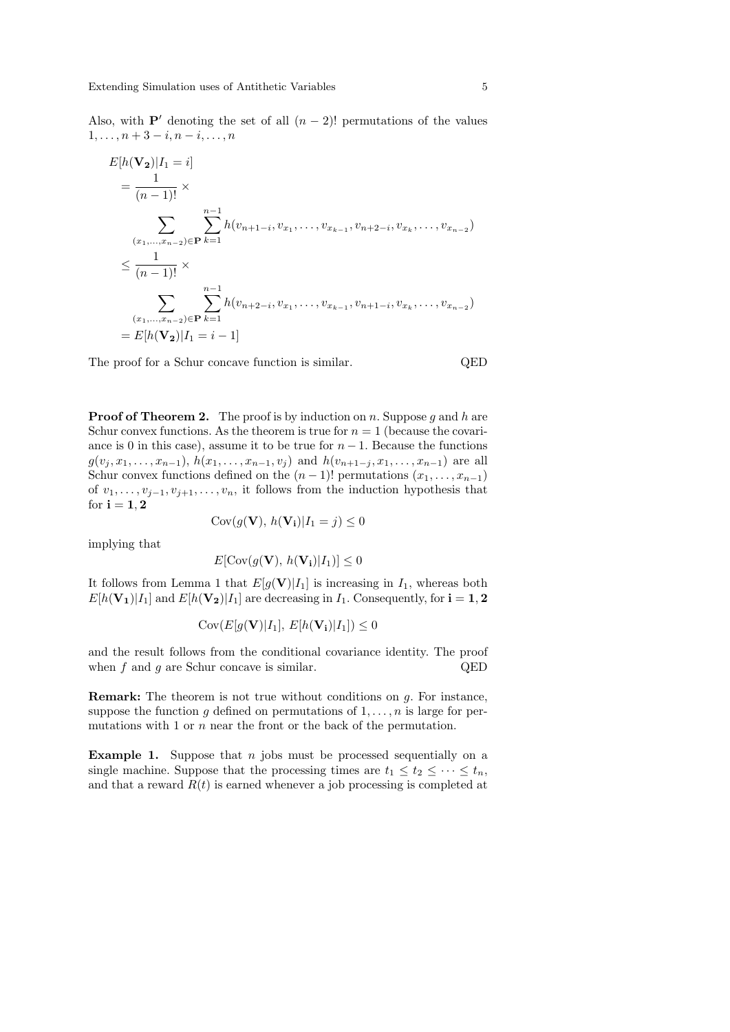Also, with P' denoting the set of all  $(n - 2)!$  permutations of the values  $1, \ldots, n + 3 - i, n - i, \ldots, n$ 

$$
E[h(\mathbf{V_2})|I_1 = i]
$$
  
=  $\frac{1}{(n-1)!}$  ×  

$$
\sum_{(x_1,...,x_{n-2}) \in \mathbf{P}} \sum_{k=1}^{n-1} h(v_{n+1-i}, v_{x_1},..., v_{x_{k-1}}, v_{n+2-i}, v_{x_k},..., v_{x_{n-2}})
$$
  

$$
\leq \frac{1}{(n-1)!}
$$
 ×  

$$
\sum_{(x_1,...,x_{n-2}) \in \mathbf{P}} \sum_{k=1}^{n-1} h(v_{n+2-i}, v_{x_1},..., v_{x_{k-1}}, v_{n+1-i}, v_{x_k},..., v_{x_{n-2}})
$$
  
=  $E[h(\mathbf{V_2})|I_1 = i - 1]$ 

The proof for a Schur concave function is similar. QED

**Proof of Theorem 2.** The proof is by induction on n. Suppose g and h are Schur convex functions. As the theorem is true for  $n = 1$  (because the covariance is 0 in this case), assume it to be true for  $n-1$ . Because the functions  $g(v_j, x_1, \ldots, x_{n-1}), h(x_1, \ldots, x_{n-1}, v_j)$  and  $h(v_{n+1-j}, x_1, \ldots, x_{n-1})$  are all Schur convex functions defined on the  $(n-1)!$  permutations  $(x_1, \ldots, x_{n-1})$ of  $v_1, \ldots, v_{i-1}, v_{i+1}, \ldots, v_n$ , it follows from the induction hypothesis that for  $i = 1, 2$ 

$$
Cov(g(\mathbf{V}), h(\mathbf{V_i})|I_1 = j) \le 0
$$

implying that

$$
E[\text{Cov}(g(\mathbf{V}), h(\mathbf{V_i}) | I_1)] \le 0
$$

It follows from Lemma 1 that  $E[q(\mathbf{V})|I_1]$  is increasing in  $I_1$ , whereas both  $E[h(\mathbf{V_1})|I_1]$  and  $E[h(\mathbf{V_2})|I_1]$  are decreasing in  $I_1$ . Consequently, for  $i = 1, 2$ 

$$
Cov(E[g(\mathbf{V})|I_1], E[h(\mathbf{V_i})|I_1]) \le 0
$$

and the result follows from the conditional covariance identity. The proof when  $f$  and  $g$  are Schur concave is similar. QED

Remark: The theorem is not true without conditions on g. For instance, suppose the function g defined on permutations of  $1, \ldots, n$  is large for permutations with 1 or  $n$  near the front or the back of the permutation.

**Example 1.** Suppose that  $n$  jobs must be processed sequentially on a single machine. Suppose that the processing times are  $t_1 \leq t_2 \leq \cdots \leq t_n$ , and that a reward  $R(t)$  is earned whenever a job processing is completed at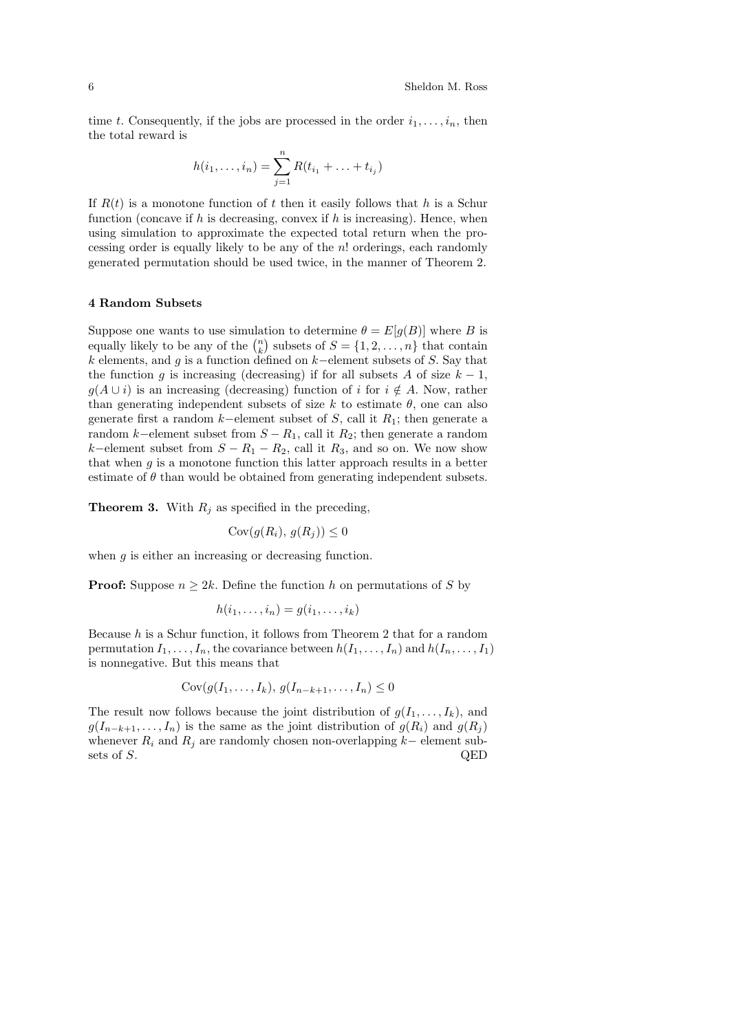time t. Consequently, if the jobs are processed in the order  $i_1, \ldots, i_n$ , then the total reward is

$$
h(i_1, ..., i_n) = \sum_{j=1}^n R(t_{i_1} + ... + t_{i_j})
$$

If  $R(t)$  is a monotone function of t then it easily follows that h is a Schur function (concave if  $h$  is decreasing, convex if  $h$  is increasing). Hence, when using simulation to approximate the expected total return when the processing order is equally likely to be any of the  $n!$  orderings, each randomly generated permutation should be used twice, in the manner of Theorem 2.

## 4 Random Subsets

Suppose one wants to use simulation to determine  $\theta = E[g(B)]$  where B is equally likely to be any of the  $\binom{n}{k}$  subsets of  $S = \{1, 2, ..., n\}$  that contain k elements, and g is a function defined on k−element subsets of S. Say that the function q is increasing (decreasing) if for all subsets A of size  $k - 1$ ,  $g(A \cup i)$  is an increasing (decreasing) function of i for  $i \notin A$ . Now, rather than generating independent subsets of size k to estimate  $\theta$ , one can also generate first a random k–element subset of S, call it  $R_1$ ; then generate a random k–element subset from  $S - R_1$ , call it  $R_2$ ; then generate a random k–element subset from  $S - R_1 - R_2$ , call it  $R_3$ , and so on. We now show that when  $g$  is a monotone function this latter approach results in a better estimate of  $\theta$  than would be obtained from generating independent subsets.

**Theorem 3.** With  $R_j$  as specified in the preceding,

$$
Cov(g(R_i), g(R_j)) \le 0
$$

when  $g$  is either an increasing or decreasing function.

**Proof:** Suppose  $n \geq 2k$ . Define the function h on permutations of S by

$$
h(i_1,\ldots,i_n)=g(i_1,\ldots,i_k)
$$

Because  $h$  is a Schur function, it follows from Theorem 2 that for a random permutation  $I_1, \ldots, I_n$ , the covariance between  $h(I_1, \ldots, I_n)$  and  $h(I_n, \ldots, I_1)$ is nonnegative. But this means that

$$
Cov(g(I_1, \ldots, I_k), g(I_{n-k+1}, \ldots, I_n) \leq 0
$$

The result now follows because the joint distribution of  $g(I_1, \ldots, I_k)$ , and  $g(I_{n-k+1}, \ldots, I_n)$  is the same as the joint distribution of  $g(R_i)$  and  $g(R_j)$ whenever  $R_i$  and  $R_j$  are randomly chosen non-overlapping k– element subsets of S. QED